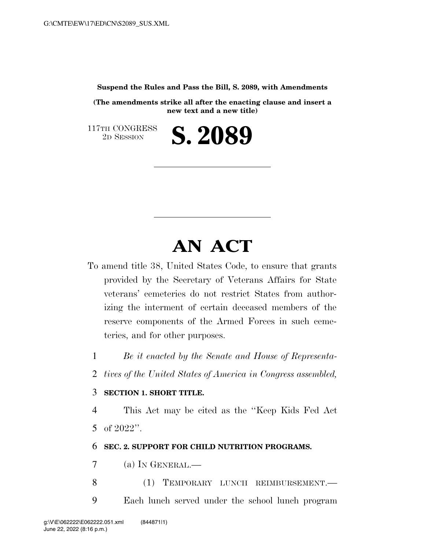**Suspend the Rules and Pass the Bill, S. 2089, with Amendments** 

**(The amendments strike all after the enacting clause and insert a new text and a new title)** 

2D SESSION **S. 2089** 

117TH CONGRESS<br>2D SESSION

# **AN ACT**

To amend title 38, United States Code, to ensure that grants provided by the Secretary of Veterans Affairs for State veterans' cemeteries do not restrict States from authorizing the interment of certain deceased members of the reserve components of the Armed Forces in such cemeteries, and for other purposes.

- 1 *Be it enacted by the Senate and House of Representa-*
- 2 *tives of the United States of America in Congress assembled,*

#### 3 **SECTION 1. SHORT TITLE.**

4 This Act may be cited as the ''Keep Kids Fed Act 5 of 2022''.

## 6 **SEC. 2. SUPPORT FOR CHILD NUTRITION PROGRAMS.**

7 (a) IN GENERAL.—

- 8 (1) TEMPORARY LUNCH REIMBURSEMENT.
- 9 Each lunch served under the school lunch program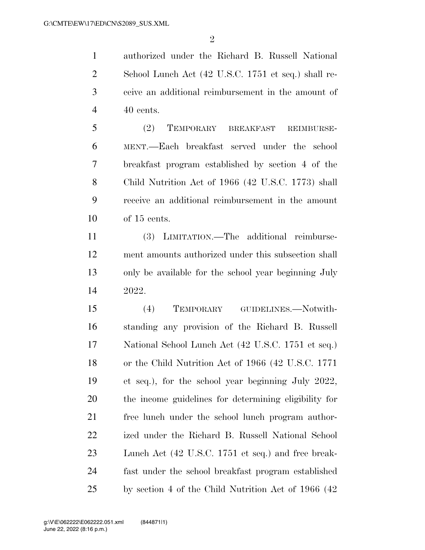authorized under the Richard B. Russell National School Lunch Act (42 U.S.C. 1751 et seq.) shall re- ceive an additional reimbursement in the amount of 40 cents.

 (2) TEMPORARY BREAKFAST REIMBURSE- MENT.—Each breakfast served under the school breakfast program established by section 4 of the Child Nutrition Act of 1966 (42 U.S.C. 1773) shall receive an additional reimbursement in the amount of 15 cents.

 (3) LIMITATION.—The additional reimburse- ment amounts authorized under this subsection shall only be available for the school year beginning July 2022.

 (4) TEMPORARY GUIDELINES.—Notwith- standing any provision of the Richard B. Russell National School Lunch Act (42 U.S.C. 1751 et seq.) or the Child Nutrition Act of 1966 (42 U.S.C. 1771 et seq.), for the school year beginning July 2022, the income guidelines for determining eligibility for free lunch under the school lunch program author- ized under the Richard B. Russell National School Lunch Act (42 U.S.C. 1751 et seq.) and free break- fast under the school breakfast program established by section 4 of the Child Nutrition Act of 1966 (42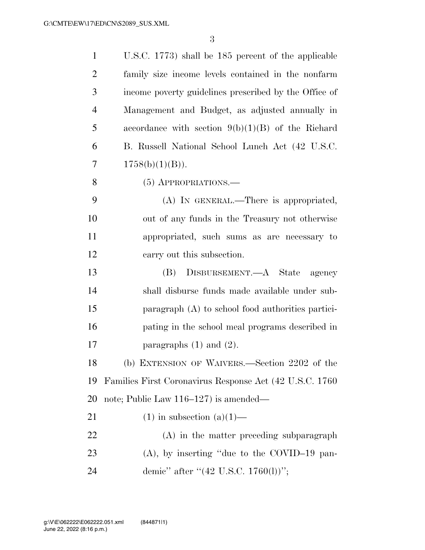| $\mathbf{1}$   | U.S.C. 1773) shall be 185 percent of the applicable      |
|----------------|----------------------------------------------------------|
| $\overline{2}$ | family size income levels contained in the nonfarm       |
| 3              | income poverty guidelines prescribed by the Office of    |
| $\overline{4}$ | Management and Budget, as adjusted annually in           |
| 5              | accordance with section $9(b)(1)(B)$ of the Richard      |
| 6              | B. Russell National School Lunch Act (42 U.S.C.          |
| 7              | $1758(b)(1)(B)$ .                                        |
| 8              | $(5)$ APPROPRIATIONS.—                                   |
| 9              | (A) IN GENERAL.—There is appropriated,                   |
| 10             | out of any funds in the Treasury not otherwise           |
| 11             | appropriated, such sums as are necessary to              |
| 12             | carry out this subsection.                               |
| 13             | DISBURSEMENT.—A State<br>(B)<br>agency                   |
| 14             | shall disburse funds made available under sub-           |
| 15             | paragraph $(A)$ to school food authorities partici-      |
| 16             | pating in the school meal programs described in          |
| 17             | paragraphs $(1)$ and $(2)$ .                             |
| 18             | (b) EXTENSION OF WAIVERS.—Section 2202 of the            |
| 19             | Families First Coronavirus Response Act (42 U.S.C. 1760) |
| 20             | note; Public Law $116-127$ is amended—                   |
| 21             | $(1)$ in subsection $(a)(1)$ —                           |
|                |                                                          |
| 22             | $(A)$ in the matter preceding subparagraph               |
| 23             | $(A)$ , by inserting "due to the COVID-19 pan-           |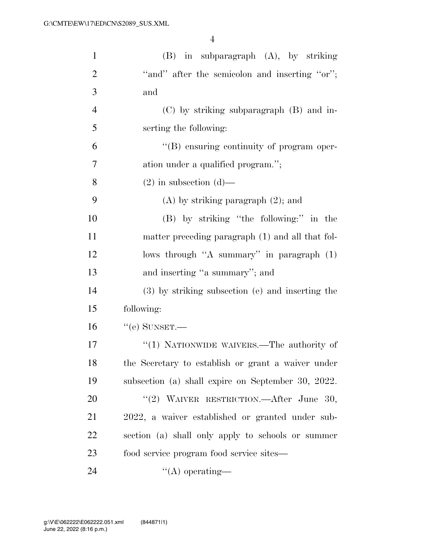| $\mathbf{1}$   | $(B)$ in subparagraph $(A)$ , by striking          |
|----------------|----------------------------------------------------|
| $\overline{2}$ | "and" after the semicolon and inserting "or";      |
| 3              | and                                                |
| $\overline{4}$ | $(C)$ by striking subparagraph $(B)$ and in-       |
| 5              | serting the following:                             |
| 6              | "(B) ensuring continuity of program oper-          |
| 7              | ation under a qualified program.";                 |
| 8              | $(2)$ in subsection $(d)$ —                        |
| 9              | $(A)$ by striking paragraph $(2)$ ; and            |
| 10             | (B) by striking "the following:" in the            |
| 11             | matter preceding paragraph (1) and all that fol-   |
| 12             | lows through "A summary" in paragraph (1)          |
| 13             | and inserting "a summary"; and                     |
| 14             | (3) by striking subsection (e) and inserting the   |
| 15             | following:                                         |
| 16             | $``$ (e) SUNSET.—                                  |
| 17             | "(1) NATIONWIDE WAIVERS.—The authority of          |
| 18             | the Secretary to establish or grant a waiver under |
| 19             | subsection (a) shall expire on September 30, 2022. |
| 20             | "(2) WAIVER RESTRICTION.—After June 30,            |
| 21             | 2022, a waiver established or granted under sub-   |
| 22             | section (a) shall only apply to schools or summer  |
| 23             | food service program food service sites—           |
| 24             | $\lq\lq$ operating—                                |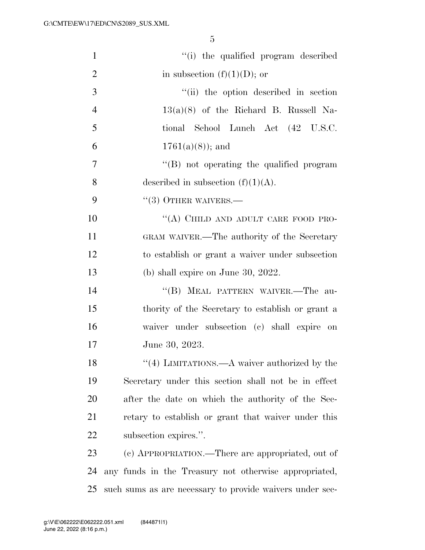| $\mathbf{1}$   | "(i) the qualified program described                     |
|----------------|----------------------------------------------------------|
| $\overline{c}$ | in subsection $(f)(1)(D)$ ; or                           |
| 3              | "(ii) the option described in section                    |
| $\overline{4}$ | $13(a)(8)$ of the Richard B. Russell Na-                 |
| 5              | tional School Lunch Act (42 U.S.C.                       |
| 6              | $1761(a)(8)$ ; and                                       |
| 7              | "(B) not operating the qualified program                 |
| 8              | described in subsection $(f)(1)(A)$ .                    |
| 9              | $``(3)$ OTHER WAIVERS.—                                  |
| 10             | "(A) CHILD AND ADULT CARE FOOD PRO-                      |
| 11             | GRAM WAIVER.—The authority of the Secretary              |
| 12             | to establish or grant a waiver under subsection          |
| 13             | (b) shall expire on June 30, 2022.                       |
| 14             | "(B) MEAL PATTERN WAIVER.—The au-                        |
| 15             | thority of the Secretary to establish or grant a         |
| 16             | waiver under subsection (c) shall expire on              |
| 17             | June 30, 2023.                                           |
| 18             | $\lq(4)$ LIMITATIONS.—A waiver authorized by the         |
| 19             | Secretary under this section shall not be in effect      |
| 20             | after the date on which the authority of the Sec-        |
| 21             | retary to establish or grant that waiver under this      |
| 22             | subsection expires.".                                    |
| 23             | (c) APPROPRIATION.—There are appropriated, out of        |
| 24             | any funds in the Treasury not otherwise appropriated,    |
| 25             | such sums as are necessary to provide waivers under sec- |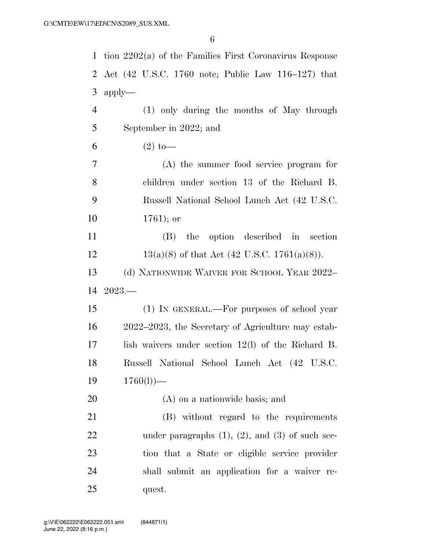| 1              | tion $2202(a)$ of the Families First Coronavirus Response |
|----------------|-----------------------------------------------------------|
| 2              | Act (42 U.S.C. 1760 note; Public Law 116–127) that        |
| 3              | $apply-$                                                  |
| $\overline{4}$ | (1) only during the months of May through                 |
| 5              | September in 2022; and                                    |
| 6              | $(2)$ to —                                                |
| 7              | $(A)$ the summer food service program for                 |
| 8              | children under section 13 of the Richard B.               |
| 9              | Russell National School Lunch Act (42 U.S.C.              |
| 10             | $1761$ ; or                                               |
| 11             | the option described in<br>section<br>(B)                 |
| 12             | $13(a)(8)$ of that Act (42 U.S.C. 1761(a)(8)).            |
| 13             | (d) NATIONWIDE WAIVER FOR SCHOOL YEAR 2022-               |
| 14             | $2023-$                                                   |
| 15             | (1) IN GENERAL.—For purposes of school year               |
| 16             | 2022–2023, the Secretary of Agriculture may estab-        |
| 17             | lish waivers under section $12(1)$ of the Richard B.      |
| 18             | Russell National School Lunch Act (42 U.S.C.              |
| 19             | $1760(l)$ )—                                              |
| 20             | (A) on a nationwide basis; and                            |
| 21             | (B) without regard to the requirements                    |
| 22             | under paragraphs $(1)$ , $(2)$ , and $(3)$ of such sec-   |
| 23             | tion that a State or eligible service provider            |
| 24             | shall submit an application for a waiver re-              |
| 25             | quest.                                                    |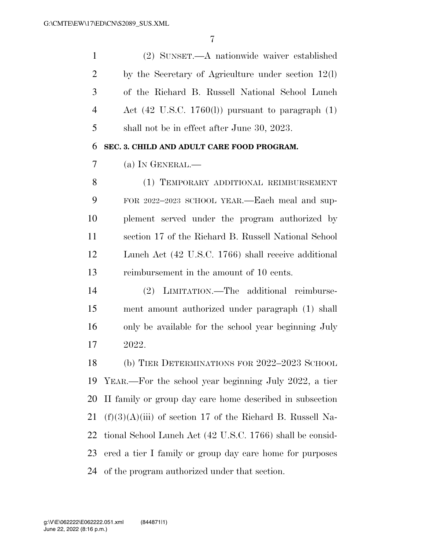| $\mathbf{1}$   | (2) SUNSET.—A nationwide waiver established                    |
|----------------|----------------------------------------------------------------|
| $\overline{2}$ | by the Secretary of Agriculture under section $12(1)$          |
| 3              | of the Richard B. Russell National School Lunch                |
| $\overline{4}$ | Act $(42 \text{ U.S.C. } 1760(l))$ pursuant to paragraph $(1)$ |
| 5              | shall not be in effect after June 30, 2023.                    |
| 6              | SEC. 3. CHILD AND ADULT CARE FOOD PROGRAM.                     |
| 7              | (a) IN GENERAL.—                                               |
| 8              | (1) TEMPORARY ADDITIONAL REIMBURSEMENT                         |
| 9              | FOR 2022-2023 SCHOOL YEAR.—Each meal and sup-                  |
| 10             | plement served under the program authorized by                 |
| 11             | section 17 of the Richard B. Russell National School           |
| 12             | Lunch Act (42 U.S.C. 1766) shall receive additional            |
| 13             | reimbursement in the amount of 10 cents.                       |
| 14             | LIMITATION.—The additional reimburse-<br>(2)                   |
| 15             | ment amount authorized under paragraph (1) shall               |
| 16             | only be available for the school year beginning July           |
| 17             | 2022.                                                          |
| 18             | (b) TIER DETERMINATIONS FOR 2022-2023 SCHOOL                   |
| 19             | YEAR.—For the school year beginning July 2022, a tier          |
| 20             | If family or group day care home described in subsection       |
| 21             | $(f)(3)(A)(iii)$ of section 17 of the Richard B. Russell Na-   |
| 22             | tional School Lunch Act (42 U.S.C. 1766) shall be consid-      |
| 23             | ered a tier I family or group day care home for purposes       |
| 24             | of the program authorized under that section.                  |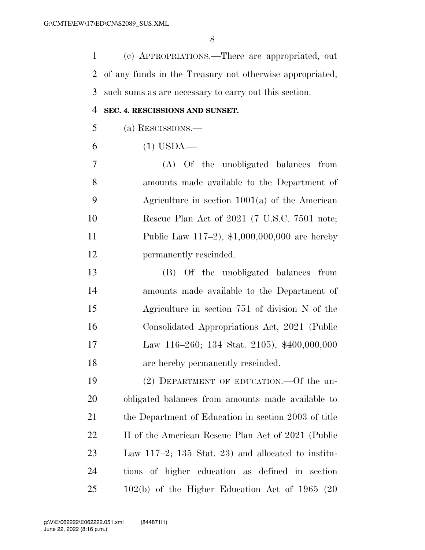(c) APPROPRIATIONS.—There are appropriated, out of any funds in the Treasury not otherwise appropriated, such sums as are necessary to carry out this section.

#### **SEC. 4. RESCISSIONS AND SUNSET.**

(a) RESCISSIONS.—

(1) USDA.—

 (A) Of the unobligated balances from amounts made available to the Department of Agriculture in section 1001(a) of the American Rescue Plan Act of 2021 (7 U.S.C. 7501 note; Public Law 117–2), \$1,000,000,000 are hereby permanently rescinded.

 (B) Of the unobligated balances from amounts made available to the Department of Agriculture in section 751 of division N of the Consolidated Appropriations Act, 2021 (Public Law 116–260; 134 Stat. 2105), \$400,000,000 are hereby permanently rescinded.

 (2) DEPARTMENT OF EDUCATION.—Of the un- obligated balances from amounts made available to 21 the Department of Education in section 2003 of title 22 II of the American Rescue Plan Act of 2021 (Public Law 117–2; 135 Stat. 23) and allocated to institu- tions of higher education as defined in section 102(b) of the Higher Education Act of 1965 (20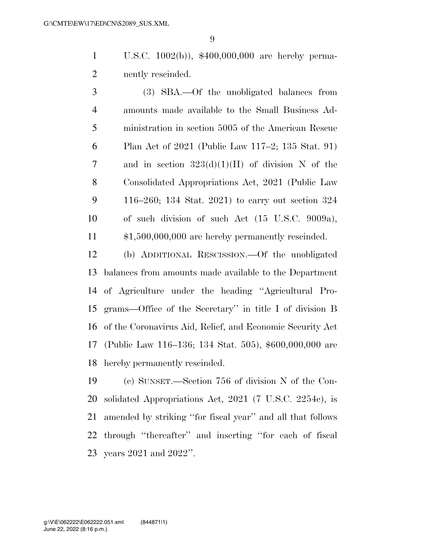U.S.C. 1002(b)), \$400,000,000 are hereby perma-nently rescinded.

 (3) SBA.—Of the unobligated balances from amounts made available to the Small Business Ad- ministration in section 5005 of the American Rescue Plan Act of 2021 (Public Law 117–2; 135 Stat. 91) 7 and in section  $323(d)(1)(H)$  of division N of the Consolidated Appropriations Act, 2021 (Public Law 116–260; 134 Stat. 2021) to carry out section 324 of such division of such Act (15 U.S.C. 9009a), \$1,500,000,000 are hereby permanently rescinded.

 (b) ADDITIONAL RESCISSION.—Of the unobligated balances from amounts made available to the Department of Agriculture under the heading ''Agricultural Pro- grams—Office of the Secretary'' in title I of division B of the Coronavirus Aid, Relief, and Economic Security Act (Public Law 116–136; 134 Stat. 505), \$600,000,000 are hereby permanently rescinded.

 (c) SUNSET.—Section 756 of division N of the Con- solidated Appropriations Act, 2021 (7 U.S.C. 2254c), is amended by striking ''for fiscal year'' and all that follows through ''thereafter'' and inserting ''for each of fiscal years 2021 and 2022''.